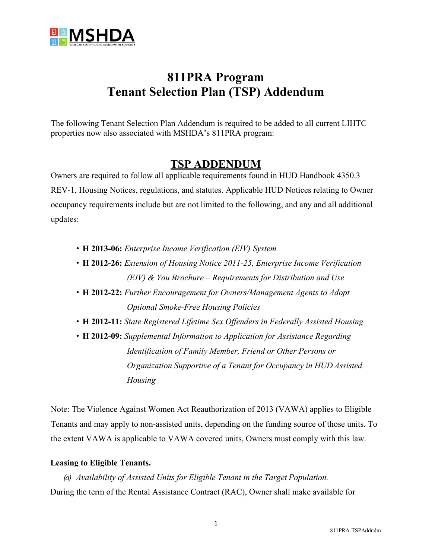

# **811PRA Program Tenant Selection Plan (TSP) Addendum**

The following Tenant Selection Plan Addendum is required to be added to all current LIHTC properties now also associated with MSHDA's 811PRA program:

### **TSP ADDENDUM**

Owners are required to follow all applicable requirements found in HUD Handbook 4350.3 REV-1, Housing Notices, regulations, and statutes. Applicable HUD Notices relating to Owner occupancy requirements include but are not limited to the following, and any and all additional updates:

- **H 2013-06:** *Enterprise Income Verification (EIV) System*
- **H 2012-26:** *Extension of Housing Notice 2011-25, Enterprise Income Verification (EIV) & You Brochure – Requirements for Distribution and Use*
- **H 2012-22:** *Further Encouragement for Owners/Management Agents to Adopt Optional Smoke-Free Housing Policies*
- **H 2012-11:** *State Registered Lifetime Sex Offenders in Federally Assisted Housing*
- **H 2012-09:** *Supplemental Information to Application for Assistance Regarding Identification of Family Member, Friend or Other Persons or Organization Supportive of a Tenant for Occupancy in HUD Assisted Housing*

Note: The Violence Against Women Act Reauthorization of 2013 (VAWA) applies to Eligible Tenants and may apply to non-assisted units, depending on the funding source of those units. To the extent VAWA is applicable to VAWA covered units, Owners must comply with this law.

#### **Leasing to Eligible Tenants.**

*(a) Availability of Assisted Units for Eligible Tenant in the Target Population.* During the term of the Rental Assistance Contract (RAC), Owner shall make available for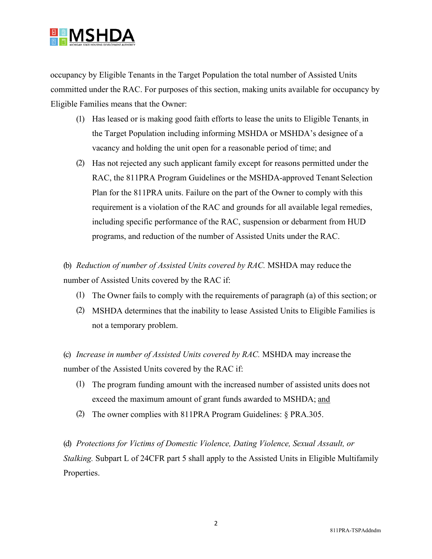

occupancy by Eligible Tenants in the Target Population the total number of Assisted Units committed under the RAC. For purposes of this section, making units available for occupancy by Eligible Families means that the Owner:

- (1) Has leased or is making good faith efforts to lease the units to Eligible Tenants, in the Target Population including informing MSHDA or MSHDA's designee of a vacancy and holding the unit open for a reasonable period of time; and
- (2) Has not rejected any such applicant family except for reasons permitted under the RAC, the 811PRA Program Guidelines or the MSHDA-approved Tenant Selection Plan for the 811PRA units. Failure on the part of the Owner to comply with this requirement is a violation of the RAC and grounds for all available legal remedies, including specific performance of the RAC, suspension or debarment from HUD programs, and reduction of the number of Assisted Units under the RAC.

(b) *Reduction of number of Assisted Units covered by RAC.* MSHDA may reduce the number of Assisted Units covered by the RAC if:

- (1) The Owner fails to comply with the requirements of paragraph (a) of this section; or
- (2) MSHDA determines that the inability to lease Assisted Units to Eligible Families is not a temporary problem.

(c) *Increase in number of Assisted Units covered by RAC.* MSHDA may increase the number of the Assisted Units covered by the RAC if:

- (1) The program funding amount with the increased number of assisted units does not exceed the maximum amount of grant funds awarded to MSHDA; and
- (2) The owner complies with 811PRA Program Guidelines: § PRA.305.

(d) *Protections for Victims of Domestic Violence, Dating Violence, Sexual Assault, or Stalking.* Subpart L of 24CFR part 5 shall apply to the Assisted Units in Eligible Multifamily Properties.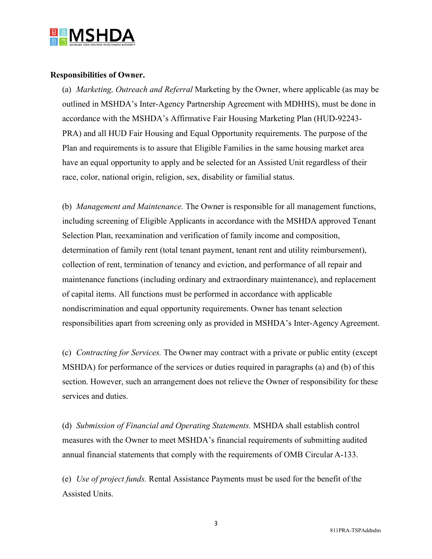

#### **Responsibilities of Owner.**

(a) *Marketing, Outreach and Referral* Marketing by the Owner, where applicable (as may be outlined in MSHDA's Inter-Agency Partnership Agreement with MDHHS), must be done in accordance with the MSHDA's Affirmative Fair Housing Marketing Plan (HUD-92243- PRA) and all HUD Fair Housing and Equal Opportunity requirements. The purpose of the Plan and requirements is to assure that Eligible Families in the same housing market area have an equal opportunity to apply and be selected for an Assisted Unit regardless of their race, color, national origin, religion, sex, disability or familial status.

(b) *Management and Maintenance.* The Owner is responsible for all management functions, including screening of Eligible Applicants in accordance with the MSHDA approved Tenant Selection Plan, reexamination and verification of family income and composition, determination of family rent (total tenant payment, tenant rent and utility reimbursement), collection of rent, termination of tenancy and eviction, and performance of all repair and maintenance functions (including ordinary and extraordinary maintenance), and replacement of capital items. All functions must be performed in accordance with applicable nondiscrimination and equal opportunity requirements. Owner has tenant selection responsibilities apart from screening only as provided in MSHDA's Inter-Agency Agreement.

(c) *Contracting for Services.* The Owner may contract with a private or public entity (except MSHDA) for performance of the services or duties required in paragraphs (a) and (b) of this section. However, such an arrangement does not relieve the Owner of responsibility for these services and duties.

(d) *Submission of Financial and Operating Statements.* MSHDA shall establish control measures with the Owner to meet MSHDA's financial requirements of submitting audited annual financial statements that comply with the requirements of OMB Circular A-133.

(e) *Use of project funds.* Rental Assistance Payments must be used for the benefit of the Assisted Units.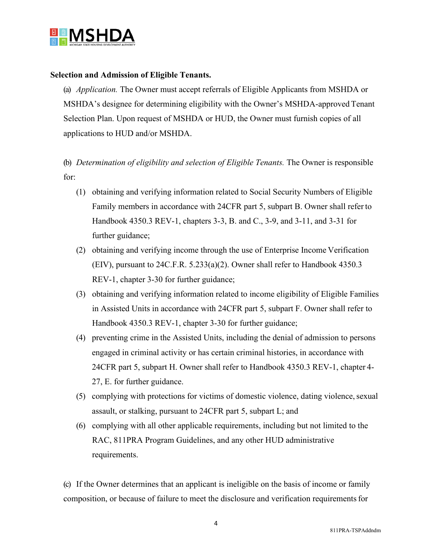

#### **Selection and Admission of Eligible Tenants.**

(a) *Application.* The Owner must accept referrals of Eligible Applicants from MSHDA or MSHDA's designee for determining eligibility with the Owner's MSHDA-approved Tenant Selection Plan. Upon request of MSHDA or HUD, the Owner must furnish copies of all applications to HUD and/or MSHDA.

## (b) *Determination of eligibility and selection of Eligible Tenants.* The Owner is responsible for:

- (1) obtaining and verifying information related to Social Security Numbers of Eligible Family members in accordance with 24CFR part 5, subpart B. Owner shall refer to Handbook 4350.3 REV-1, chapters 3-3, B. and C., 3-9, and 3-11, and 3-31 for further guidance;
- (2) obtaining and verifying income through the use of Enterprise Income Verification (EIV), pursuant to 24C.F.R. 5.233(a)(2). Owner shall refer to Handbook 4350.3 REV-1, chapter 3-30 for further guidance;
- (3) obtaining and verifying information related to income eligibility of Eligible Families in Assisted Units in accordance with 24CFR part 5, subpart F. Owner shall refer to Handbook 4350.3 REV-1, chapter 3-30 for further guidance;
- (4) preventing crime in the Assisted Units, including the denial of admission to persons engaged in criminal activity or has certain criminal histories, in accordance with 24CFR part 5, subpart H. Owner shall refer to Handbook 4350.3 REV-1, chapter 4- 27, E. for further guidance.
- (5) complying with protections for victims of domestic violence, dating violence, sexual assault, or stalking, pursuant to 24CFR part 5, subpart L; and
- (6) complying with all other applicable requirements, including but not limited to the RAC, 811PRA Program Guidelines, and any other HUD administrative requirements.

(c) If the Owner determines that an applicant is ineligible on the basis of income or family composition, or because of failure to meet the disclosure and verification requirements for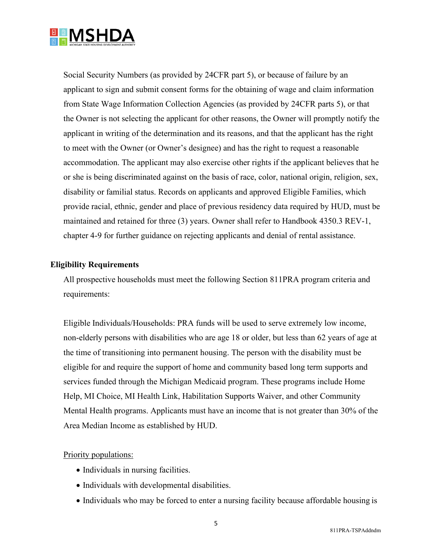

Social Security Numbers (as provided by 24CFR part 5), or because of failure by an applicant to sign and submit consent forms for the obtaining of wage and claim information from State Wage Information Collection Agencies (as provided by 24CFR parts 5), or that the Owner is not selecting the applicant for other reasons, the Owner will promptly notify the applicant in writing of the determination and its reasons, and that the applicant has the right to meet with the Owner (or Owner's designee) and has the right to request a reasonable accommodation. The applicant may also exercise other rights if the applicant believes that he or she is being discriminated against on the basis of race, color, national origin, religion, sex, disability or familial status. Records on applicants and approved Eligible Families, which provide racial, ethnic, gender and place of previous residency data required by HUD, must be maintained and retained for three (3) years. Owner shall refer to Handbook 4350.3 REV-1, chapter 4-9 for further guidance on rejecting applicants and denial of rental assistance.

#### **Eligibility Requirements**

All prospective households must meet the following Section 811PRA program criteria and requirements:

Eligible Individuals/Households: PRA funds will be used to serve extremely low income, non-elderly persons with disabilities who are age 18 or older, but less than 62 years of age at the time of transitioning into permanent housing. The person with the disability must be eligible for and require the support of home and community based long term supports and services funded through the Michigan Medicaid program. These programs include Home Help, MI Choice, MI Health Link, Habilitation Supports Waiver, and other Community Mental Health programs. Applicants must have an income that is not greater than 30% of the Area Median Income as established by HUD.

#### Priority populations:

- Individuals in nursing facilities.
- Individuals with developmental disabilities.
- Individuals who may be forced to enter a nursing facility because affordable housing is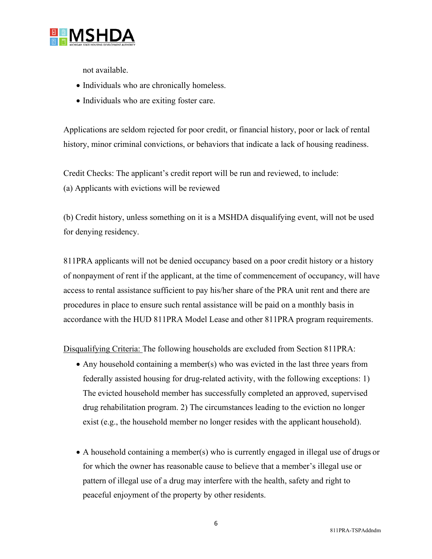

not available.

- Individuals who are chronically homeless.
- Individuals who are exiting foster care.

Applications are seldom rejected for poor credit, or financial history, poor or lack of rental history, minor criminal convictions, or behaviors that indicate a lack of housing readiness.

Credit Checks: The applicant's credit report will be run and reviewed, to include: (a) Applicants with evictions will be reviewed

(b) Credit history, unless something on it is a MSHDA disqualifying event, will not be used for denying residency.

811PRA applicants will not be denied occupancy based on a poor credit history or a history of nonpayment of rent if the applicant, at the time of commencement of occupancy, will have access to rental assistance sufficient to pay his/her share of the PRA unit rent and there are procedures in place to ensure such rental assistance will be paid on a monthly basis in accordance with the HUD 811PRA Model Lease and other 811PRA program requirements.

Disqualifying Criteria: The following households are excluded from Section 811PRA:

- Any household containing a member(s) who was evicted in the last three years from federally assisted housing for drug-related activity, with the following exceptions: 1) The evicted household member has successfully completed an approved, supervised drug rehabilitation program. 2) The circumstances leading to the eviction no longer exist (e.g., the household member no longer resides with the applicant household).
- A household containing a member(s) who is currently engaged in illegal use of drugs or for which the owner has reasonable cause to believe that a member's illegal use or pattern of illegal use of a drug may interfere with the health, safety and right to peaceful enjoyment of the property by other residents.